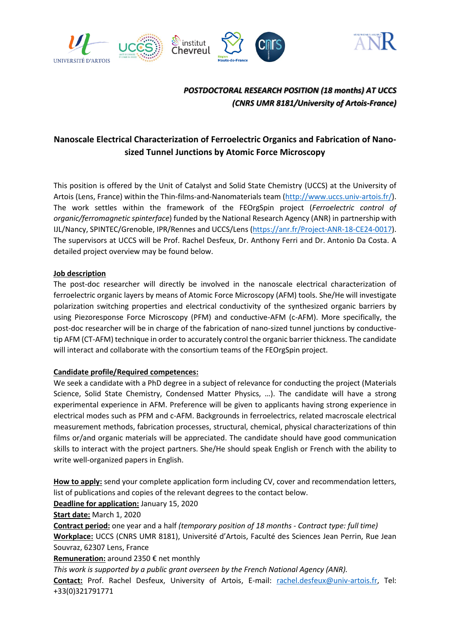

# *POSTDOCTORAL RESEARCH POSITION (18 months) AT UCCS (CNRS UMR 8181/University of Artois-France)*

# **Nanoscale Electrical Characterization of Ferroelectric Organics and Fabrication of Nanosized Tunnel Junctions by Atomic Force Microscopy**

This position is offered by the Unit of Catalyst and Solid State Chemistry (UCCS) at the University of Artois (Lens, France) within the Thin-films-and-Nanomaterials team [\(http://www.uccs.univ-artois.fr/\)](http://www.uccs.univ-artois.fr/). The work settles within the framework of the FEOrgSpin project (*Ferroelectric control of organic/ferromagnetic spinterface*) funded by the National Research Agency (ANR) in partnership with IJL/Nancy, SPINTEC/Grenoble, IPR/Rennes and UCCS/Lens (https://anr.fr/Project-ANR-18-CE24-0017). The supervisors at UCCS will be Prof. Rachel Desfeux, Dr. Anthony Ferri and Dr. Antonio Da Costa. A detailed project overview may be found below.

#### **Job description**

The post-doc researcher will directly be involved in the nanoscale electrical characterization of ferroelectric organic layers by means of Atomic Force Microscopy (AFM) tools. She/He will investigate polarization switching properties and electrical conductivity of the synthesized organic barriers by using Piezoresponse Force Microscopy (PFM) and conductive-AFM (c-AFM). More specifically, the post-doc researcher will be in charge of the fabrication of nano-sized tunnel junctions by conductivetip AFM (CT-AFM) technique in order to accurately control the organic barrier thickness. The candidate will interact and collaborate with the consortium teams of the FEOrgSpin project.

### **Candidate profile/Required competences:**

We seek a candidate with a PhD degree in a subject of relevance for conducting the project (Materials Science, Solid State Chemistry, Condensed Matter Physics, …). The candidate will have a strong experimental experience in AFM. Preference will be given to applicants having strong experience in electrical modes such as PFM and c-AFM. Backgrounds in ferroelectrics, related macroscale electrical measurement methods, fabrication processes, structural, chemical, physical characterizations of thin films or/and organic materials will be appreciated. The candidate should have good communication skills to interact with the project partners. She/He should speak English or French with the ability to write well-organized papers in English.

**How to apply:** send your complete application form including CV, cover and recommendation letters, list of publications and copies of the relevant degrees to the contact below.

**Deadline for application:** January 15, 2020

**Start date:** March 1, 2020

**Contract period:** one year and a half *(temporary position of 18 months - Contract type: full time)* **Workplace:** UCCS (CNRS UMR 8181), Université d'Artois, Faculté des Sciences Jean Perrin, Rue Jean Souvraz, 62307 Lens, France

**Remuneration:** around 2350 € net monthly

*This work is supported by a public grant overseen by the French National Agency (ANR).*

**Contact:** Prof. Rachel Desfeux, University of Artois, E-mail: [rachel.desfeux@univ-artois.fr,](mailto:rachel.desfeux@univ-artois.fr) Tel: +33(0)321791771